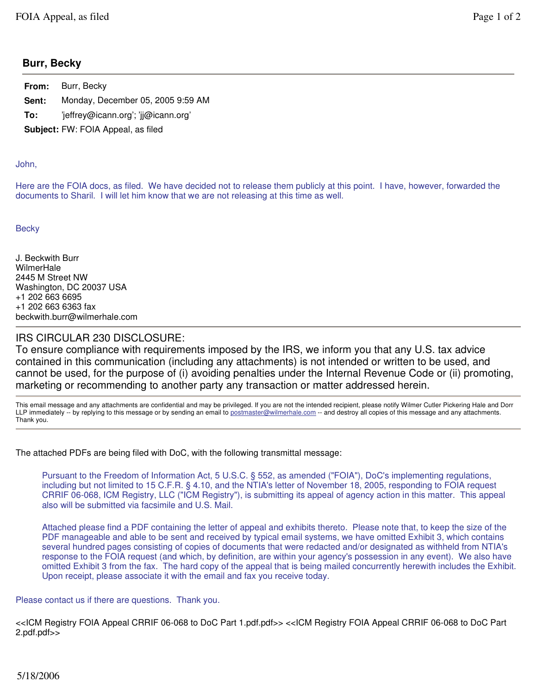## **Burr, Becky**

|                                           | <b>From:</b> Burr, Becky            |
|-------------------------------------------|-------------------------------------|
| Sent:                                     | Monday, December 05, 2005 9:59 AM   |
| To:                                       | 'jeffrey@icann.org'; 'jj@icann.org' |
| <b>Subject: FW: FOIA Appeal, as filed</b> |                                     |

## John,

Here are the FOIA docs, as filed. We have decided not to release them publicly at this point. I have, however, forwarded the documents to Sharil. I will let him know that we are not releasing at this time as well.

**Becky** 

J. Beckwith Burr **WilmerHale** 2445 M Street NW Washington, DC 20037 USA +1 202 663 6695 +1 202 663 6363 fax beckwith.burr@wilmerhale.com

## IRS CIRCULAR 230 DISCLOSURE:

To ensure compliance with requirements imposed by the IRS, we inform you that any U.S. tax advice contained in this communication (including any attachments) is not intended or written to be used, and cannot be used, for the purpose of (i) avoiding penalties under the Internal Revenue Code or (ii) promoting, marketing or recommending to another party any transaction or matter addressed herein.

This email message and any attachments are confidential and may be privileged. If you are not the intended recipient, please notify Wilmer Cutler Pickering Hale and Dorr LLP immediately -- by replying to this message or by sending an email to postmaster@wilmerhale.com -- and destroy all copies of this message and any attachments. Thank you.

The attached PDFs are being filed with DoC, with the following transmittal message:

Pursuant to the Freedom of Information Act, 5 U.S.C. § 552, as amended ("FOIA"), DoC's implementing regulations, including but not limited to 15 C.F.R. § 4.10, and the NTIA's letter of November 18, 2005, responding to FOIA request CRRIF 06-068, ICM Registry, LLC ("ICM Registry"), is submitting its appeal of agency action in this matter. This appeal also will be submitted via facsimile and U.S. Mail.

Attached please find a PDF containing the letter of appeal and exhibits thereto. Please note that, to keep the size of the PDF manageable and able to be sent and received by typical email systems, we have omitted Exhibit 3, which contains several hundred pages consisting of copies of documents that were redacted and/or designated as withheld from NTIA's response to the FOIA request (and which, by definition, are within your agency's possession in any event). We also have omitted Exhibit 3 from the fax. The hard copy of the appeal that is being mailed concurrently herewith includes the Exhibit. Upon receipt, please associate it with the email and fax you receive today.

## Please contact us if there are questions. Thank you.

<<ICM Registry FOIA Appeal CRRIF 06-068 to DoC Part 1.pdf.pdf>> <<ICM Registry FOIA Appeal CRRIF 06-068 to DoC Part 2.pdf.pdf>>